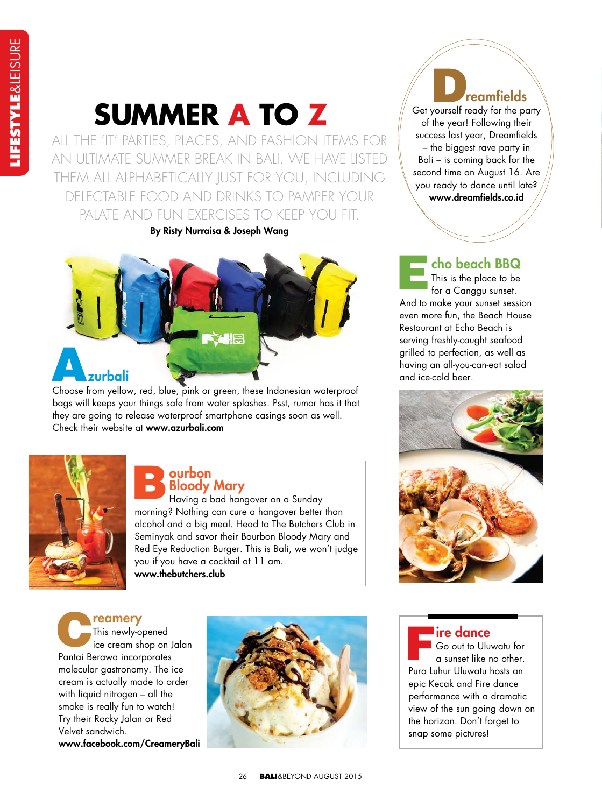# **SUMMER A TO Z**

ALL THE 'IT' PARTIES, PLACES, AND FASHION ITEMS FOR AN ULTIMATE SUMMER BREAK IN BALI. WE HAVE LISTED THEM ALL ALPHABETICALLY JUST FOR YOU, INCLUDING DELECTABLE FOOD AND DRINKS TO PAMPER YOUR PALATE AND FUN EXERCISES TO KEEP YOU FIT.

**By Risty Nurraisa & Joseph Wang**



bags will keeps your things safe from water splashes. Psst, rumor has it that they are going to release waterproof smartphone casings soon as well. Check their website at **www.azurbali.com**



### **ourbon Bloody Mary** B

Having a bad hangover on a Sunday morning? Nothing can cure a hangover better than alcohol and a big meal. Head to The Butchers Club in Seminyak and savor their Bourbon Bloody Mary and Red Eye Reduction Burger. This is Bali, we won't judge you if you have a cocktail at 11 am. **www.thebutchers.club**

**reamery** This newly-opened ice cream shop on Jalan Pantai Berawa incorporates molecular gastronomy. The ice cream is actually made to order with liquid nitrogen – all the smoke is really fun to watch! Try their Rocky Jalan or Red Velvet sandwich. **www.facebook.com/CreameryBali** C



*C* **reamfields**<br>
Get yourself ready for the party of the year! Following their success last year, Dreamfields – the biggest rave party in Bali – is coming back for the second time on August 16. Are you ready to dance until late? www.dreamfields.co.id

# **cho beach BBQ**

This is the place to be for a Canggu sunset. And to make your sunset session even more fun, the Beach House Restaurant at Echo Beach is serving freshly-caught seafood grilled to perfection, as well as having an all-you-can-eat salad and ice-cold beer. E



#### **ire dance**

Go out to Uluwatu for a sunset like no other. Pura Luhur Uluwatu hosts an epic Kecak and Fire dance performance with a dramatic view of the sun going down on the horizon. Don't forget to snap some pictures! F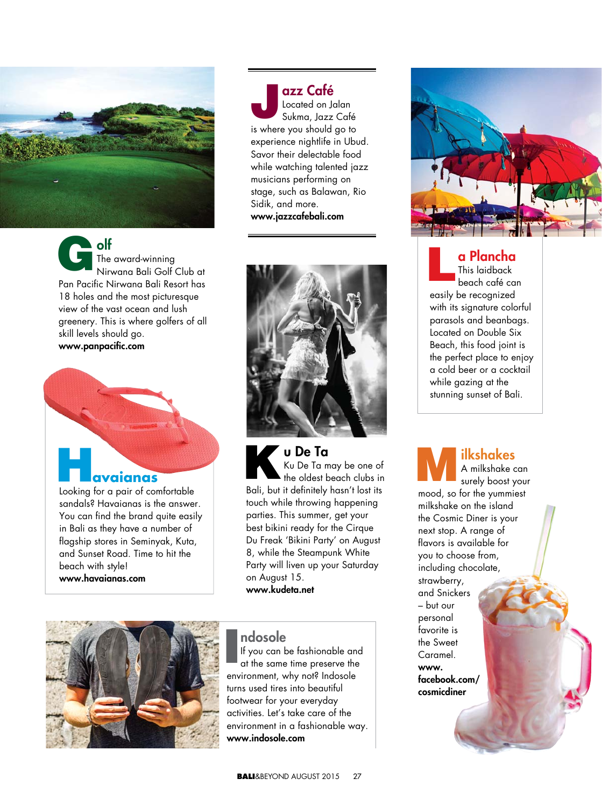

**olf** The award-winning Nirwana Bali Golf Club at Pan Pacific Nirwana Bali Resort has 18 holes and the most picturesque view of the vast ocean and lush greenery. This is where golfers of all skill levels should go. www.panpacific.com G

 **avaianas** Looking for a pair of comfortable sandals? Havaianas is the answer. You can find the brand quite easily in Bali as they have a number of flagship stores in Seminyak, Kuta, and Sunset Road. Time to hit the

beach with style! **www.havaianas.com**

**azz Café**  Located on Jalan Sukma, Jazz Café is where you should go to experience nightlife in Ubud. Savor their delectable food while watching talented jazz musicians performing on stage, such as Balawan, Rio

Sidik, and more. **www.jazzcafebali.com**

J

**u u De Ta**  Ku Ku De Ta may be one of  $\blacktriangle$  the oldest beach clubs in Bali, but it definitely hasn't lost its touch while throwing happening parties. This summer, get your best bikini ready for the Cirque Du Freak 'Bikini Party' on August 8, while the Steampunk White Party will liven up your Saturday on August 15. **www.kudeta.net** K



#### **ndosole**

If you can be fashionable and at the same time preserve the environment, why not? Indosole turns used tires into beautiful footwear for your everyday activities. Let's take care of the environment in a fashionable way. **www.indosole.com** I



**a Plancha** This laidback beach café can easily be recognized with its signature colorful parasols and beanbags. Located on Double Six Beach, this food joint is the perfect place to enjoy a cold beer or a cocktail while gazing at the stunning sunset of Bali. L

**ilkshakes** A milkshake can surely boost your mood, so for the yummiest milkshake on the island the Cosmic Diner is your next stop. A range of flavors is available for you to choose from, including chocolate, strawberry, and Snickers – but our personal favorite is the Sweet Caramel. **www. facebook.com/ cosmicdiner** M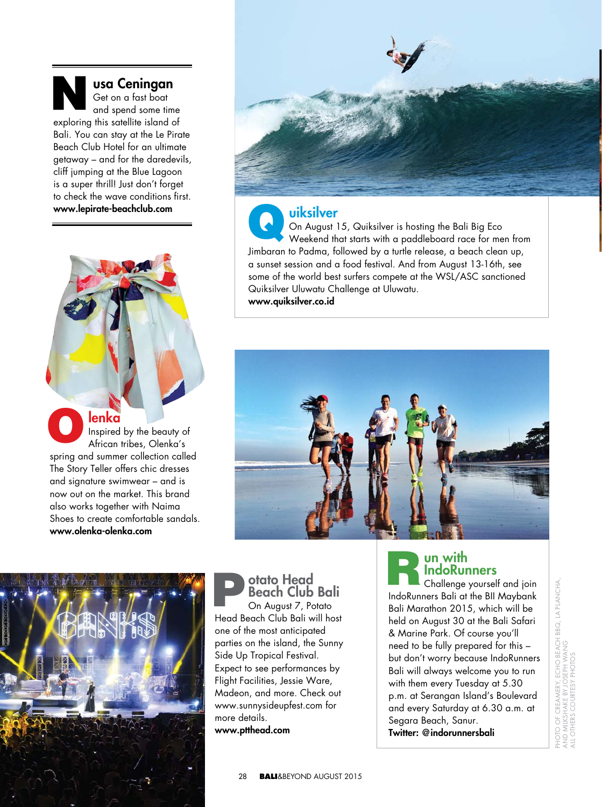#### **usa Ceningan** Get on a fast boat and spend some time exploring this satellite island of Bali. You can stay at the Le Pirate Beach Club Hotel for an ultimate getaway – and for the daredevils, cliff jumping at the Blue Lagoon is a super thrill! Just don't forget to check the wave conditions first. **www.lepirate-beachclub.com** N

**lenka** Inspired by the beauty of African tribes, Olenka's spring and summer collection called The Story Teller offers chic dresses and signature swimwear – and is now out on the market. This brand also works together with Naima Shoes to create comfortable sandals. **www.olenka-olenka.com** O



#### **uiksilver**

On August 15, Quiksilver is hosting the Bali Big Eco Weekend that starts with a paddleboard race for men from Jimbaran to Padma, followed by a turtle release, a beach clean up, a sunset session and a food festival. And from August 13-16th, see some of the world best surfers compete at the WSL/ASC sanctioned Quiksilver Uluwatu Challenge at Uluwatu. **www.quiksilver.co.id** Q





**otato Head Beach Club Bali** On August 7, Potato Head Beach Club Bali will host one of the most anticipated parties on the island, the Sunny Side Up Tropical Festival. Expect to see performances by Flight Facilities, Jessie Ware, Madeon, and more. Check out www.sunnysideupfest.com for more details. **www.ptthead.com** Deach Club Bali<br>
On August 7, Potato<br>
Bali Ma

## **un with IndoRunners**

Challenge yourself and join IndoRunners Bali at the BII Maybank Bali Marathon 2015, which will be held on August 30 at the Bali Safari & Marine Park. Of course you'll need to be fully prepared for this – but don't worry because IndoRunners Bali will always welcome you to run with them every Tuesday at 5.30 p.m. at Serangan Island's Boulevard and every Saturday at 6.30 a.m. at Segara Beach, Sanur. **Twitter: @indorunnersbali**